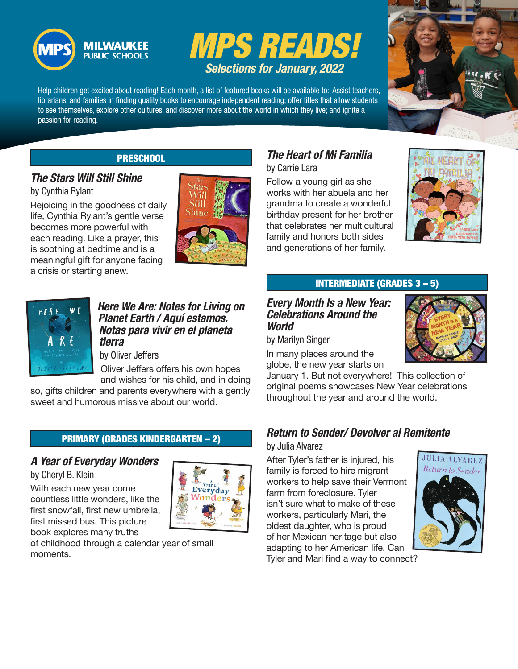



Help children get excited about reading! Each month, a list of featured books will be available to: Assist teachers, librarians, and families in finding quality books to encourage independent reading; offer titles that allow students to see themselves, explore other cultures, and discover more about the world in which they live; and ignite a passion for reading.



### PRESCHOOL

# *The Stars Will Still Shine*

by Cynthia Rylant

Rejoicing in the goodness of daily life, Cynthia Rylant's gentle verse becomes more powerful with each reading. Like a prayer, this is soothing at bedtime and is a meaningful gift for anyone facing a crisis or starting anew.



#### *Here We Are: Notes for Living on Planet Earth / Aquí estamos. Notas para vivir en el planeta tierra*

by Oliver Jeffers

Oliver Jeffers offers his own hopes and wishes for his child, and in doing

so, gifts children and parents everywhere with a gently sweet and humorous missive about our world.

## PRIMARY (GRADES KINDERGARTEN – 2)

## *A Year of Everyday Wonders*

by Cheryl B. Klein

With each new year come countless little wonders, like the first snowfall, first new umbrella, first missed bus. This picture book explores many truths



of childhood through a calendar year of small moments.

## *The Heart of Mi Familia*  by Carrie Lara

Follow a young girl as she works with her abuela and her grandma to create a wonderful birthday present for her brother that celebrates her multicultural family and honors both sides and generations of her family.



## INTERMEDIATE (GRADES 3 – 5)

#### *Every Month Is a New Year: Celebrations Around the World*

by Marilyn Singer

In many places around the globe, the new year starts on

January 1. But not everywhere! This collection of original poems showcases New Year celebrations throughout the year and around the world.

## *Return to Sender/ Devolver al Remitente*

#### by Julia Alvarez

After Tyler's father is injured, his family is forced to hire migrant workers to help save their Vermont farm from foreclosure. Tyler isn't sure what to make of these workers, particularly Mari, the oldest daughter, who is proud of her Mexican heritage but also adapting to her American life. Can Tyler and Mari find a way to connect?